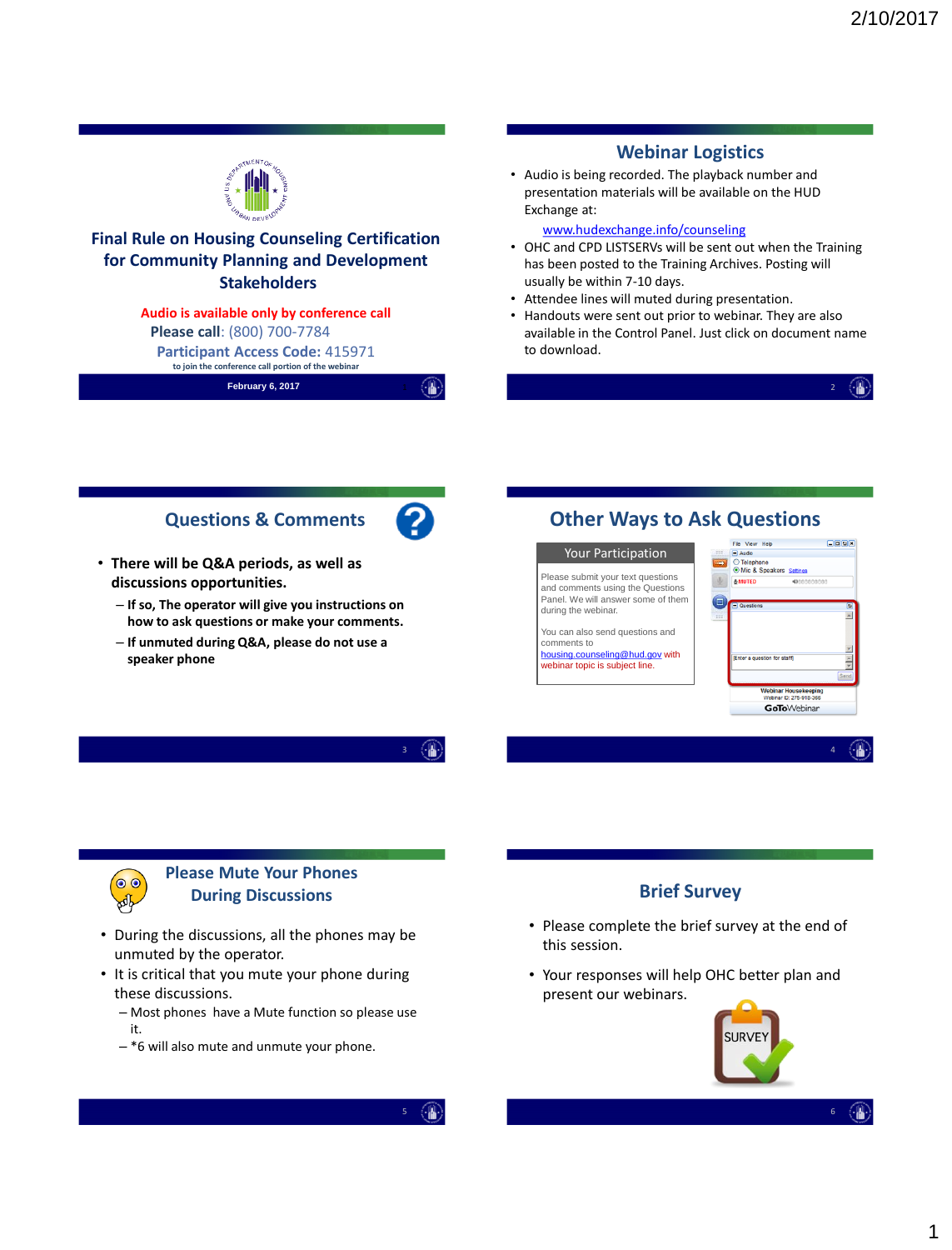|                                                                                                                                                                                                                                                                                                                         | <b>Webinar Logistics</b>                                                                                                                                                                                                                                                                                                                                                                                                                                                                                                                                                                        |
|-------------------------------------------------------------------------------------------------------------------------------------------------------------------------------------------------------------------------------------------------------------------------------------------------------------------------|-------------------------------------------------------------------------------------------------------------------------------------------------------------------------------------------------------------------------------------------------------------------------------------------------------------------------------------------------------------------------------------------------------------------------------------------------------------------------------------------------------------------------------------------------------------------------------------------------|
|                                                                                                                                                                                                                                                                                                                         | • Audio is being recorded. The playback number and<br>presentation materials will be available on the HUD<br>Exchange at:                                                                                                                                                                                                                                                                                                                                                                                                                                                                       |
| <b>Final Rule on Housing Counseling Certification</b><br>for Community Planning and Development<br><b>Stakeholders</b><br>Audio is available only by conference call<br>Please call: (800) 700-7784<br><b>Participant Access Code: 415971</b><br>to join the conference call portion of the webinar<br>February 6, 2017 | www.hudexchange.info/counseling<br>• OHC and CPD LISTSERVs will be sent out when the Training<br>has been posted to the Training Archives. Posting will<br>usually be within 7-10 days.<br>• Attendee lines will muted during presentation.<br>• Handouts were sent out prior to webinar. They are also<br>available in the Control Panel. Just click on document name<br>to download.                                                                                                                                                                                                          |
| <b>Questions &amp; Comments</b><br>• There will be Q&A periods, as well as<br>discussions opportunities.<br>- If so, The operator will give you instructions on<br>how to ask questions or make your comments.<br>- If unmuted during Q&A, please do not use a<br>speaker phone                                         | <b>Other Ways to Ask Questions</b><br>$\Box$ oox<br>File View Help<br><b>Your Participation</b><br>$\Box$ Audio<br>◯ Telephone<br>O Mic & Speakers Settings<br>Please submit your text questions<br><b>&amp;MUTED</b><br>4000000000<br>and comments using the Questions<br>Panel. We will answer some of them<br>O,<br><b>E</b> Questions<br>during the webinar.<br>You can also send questions and<br>comments to<br>housing.counseling@hud.gov with<br>Enter a question for staff)<br>webinar topic is subject line.<br>Webinar Housekeeping<br>Webinar D: 275-918-366<br><b>GoTo</b> Webinar |
| <b>Please Mute Your Phones</b><br><b>During Discussions</b>                                                                                                                                                                                                                                                             | <b>Brief Survey</b>                                                                                                                                                                                                                                                                                                                                                                                                                                                                                                                                                                             |

- During the discussions, all the phones may be unmuted by the operator.
- It is critical that you mute your phone during these discussions.
	- Most phones have a Mute function so please use it.
	- \*6 will also mute and unmute your phone.
- Please complete the brief survey at the end of this session.
- Your responses will help OHC better plan and present our webinars.



 $6 \quad \circledast$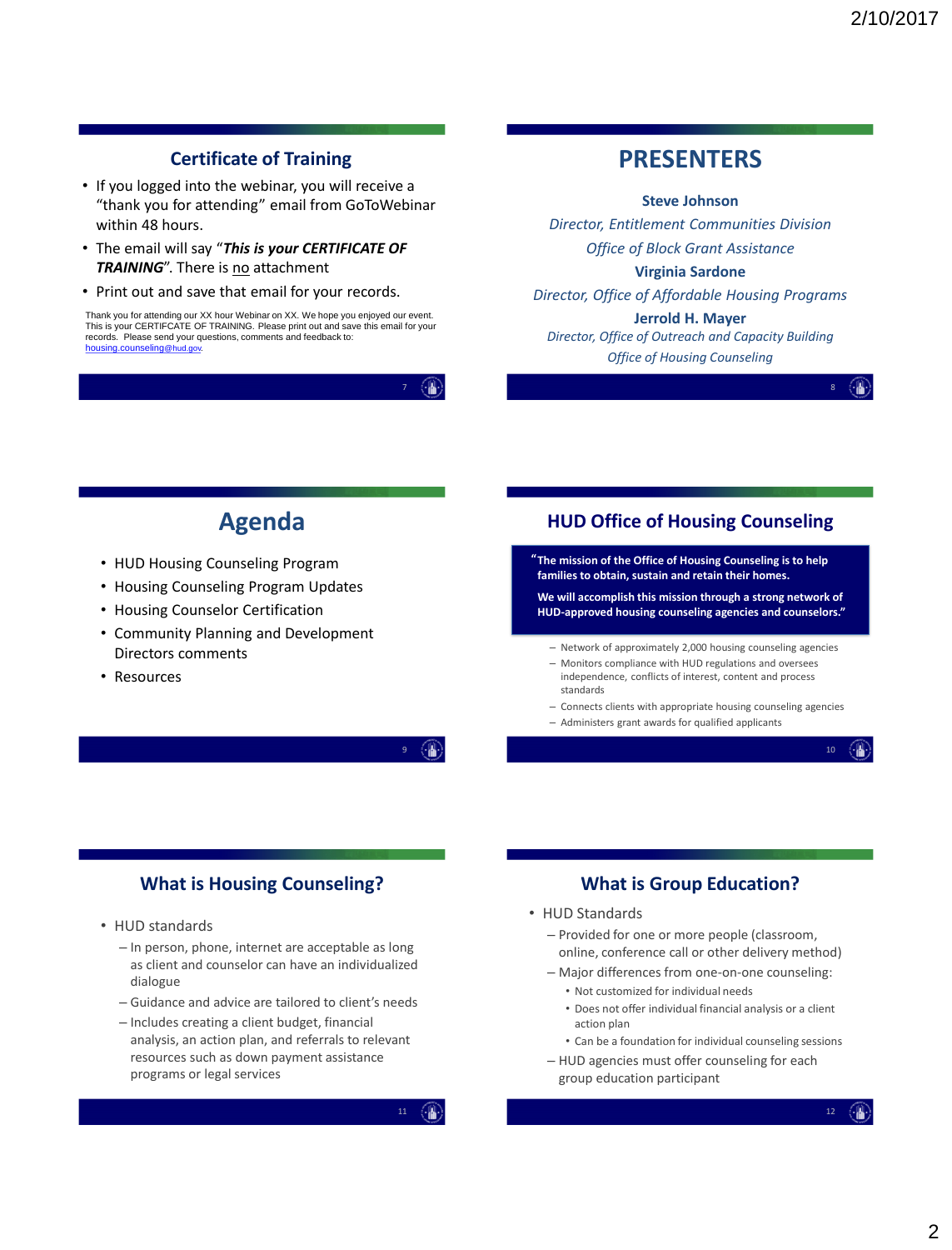# **Certificate of Training**

- If you logged into the webinar, you will receive a "thank you for attending" email from GoToWebinar within 48 hours.
- The email will say "*This is your CERTIFICATE OF TRAINING*". There is no attachment
- Print out and save that email for your records.

7

# **PRESENTERS**

#### **Steve Johnson**

*Director, Entitlement Communities Division Office of Block Grant Assistance*

#### **Virginia Sardone**

*Director, Office of Affordable Housing Programs*

#### **Jerrold H. Mayer**

*Director, Office of Outreach and Capacity Building Office of Housing Counseling*



8

# **Agenda**

- HUD Housing Counseling Program
- Housing Counseling Program Updates
- Housing Counselor Certification
- Community Planning and Development Directors comments
- Resources

## **HUD Office of Housing Counseling**

**The mission of the Office of Housing Counseling is to help " families to obtain, sustain and retain their homes.** 

**We will accomplish this mission through a strong network of HUD-approved housing counseling agencies and counselors."**

- Network of approximately 2,000 housing counseling agencies
- Monitors compliance with HUD regulations and oversees independence, conflicts of interest, content and process standards

– Administers grant awards for qualified applicants

– Connects clients with appropriate housing counseling agencies

 $\circ$   $\circ$   $\circ$ 

10

## **What is Housing Counseling?**

- HUD standards
	- In person, phone, internet are acceptable as long as client and counselor can have an individualized dialogue
	- Guidance and advice are tailored to client's needs
	- Includes creating a client budget, financial analysis, an action plan, and referrals to relevant resources such as down payment assistance programs or legal services

11

#### **What is Group Education?**

#### • HUD Standards

- Provided for one or more people (classroom, online, conference call or other delivery method)
- Major differences from one-on-one counseling:
	- Not customized for individual needs
	- Does not offer individual financial analysis or a client action plan
- Can be a foundation for individual counseling sessions – HUD agencies must offer counseling for each
	- group education participant

Thank you for attending our XX hour Webinar on XX. We hope you enjoyed our event. This is your CERTIFCATE OF TRAINING. Please print out and save this email for your records. Please send your questions, comments and feedback to: [housing.counseling](mailto:housing.counseling@hud.gov)@hud.gov.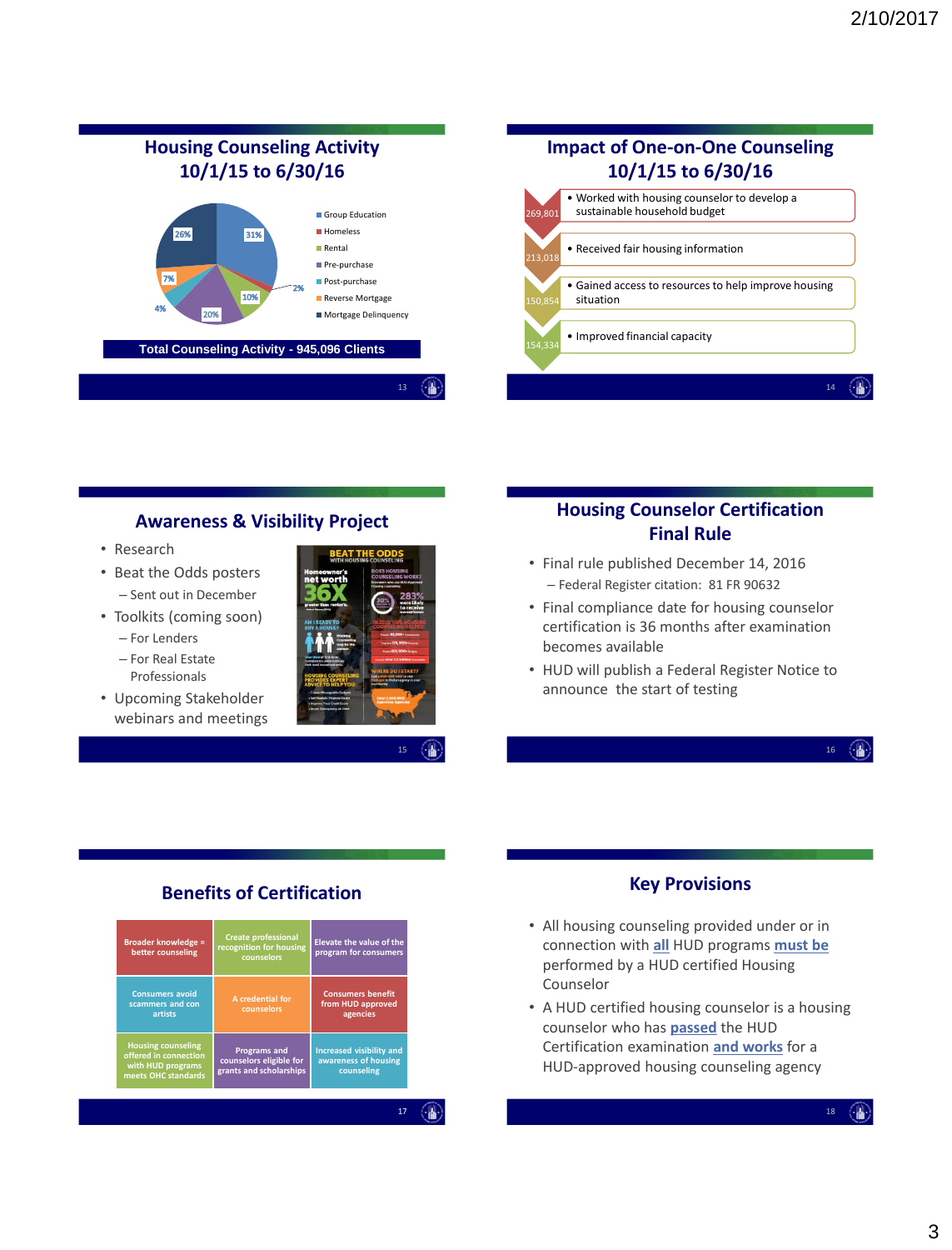

#### **Awareness & Visibility Project**

- Research
- Beat the Odds posters – Sent out in December
- Toolkits (coming soon)
	- For Lenders
	- For Real Estate Professionals
- Upcoming Stakeholder webinars and meetings



## **Housing Counselor Certification Final Rule**

- Final rule published December 14, 2016 – Federal Register citation: 81 FR 90632
- Final compliance date for housing counselor certification is 36 months after examination becomes available
- HUD will publish a Federal Register Notice to announce the start of testing

 $16 \quad \left( \begin{array}{c} \bullet \\ \bullet \end{array} \right)$ 

# **Benefits of Certification**

| <b>Broader knowledge =</b><br>better counseling                                                | <b>Create professional</b><br>recognition for housing<br>counselors       | Elevate the value of the<br>program for consumers              |
|------------------------------------------------------------------------------------------------|---------------------------------------------------------------------------|----------------------------------------------------------------|
| <b>Consumers avoid</b><br>scammers and con<br>artists                                          | A credential for<br>counselors                                            | <b>Consumers benefit</b><br>from HUD approved<br>agencies      |
| <b>Housing counseling</b><br>offered in connection<br>with HUD programs<br>meets OHC standards | <b>Programs and</b><br>counselors eligible for<br>grants and scholarships | Increased visibility and<br>awareness of housing<br>counseling |

- All housing counseling provided under or in connection with **all** HUD programs **must be**  performed by a HUD certified Housing Counselor
- A HUD certified housing counselor is a housing counselor who has **passed** the HUD Certification examination **and works** for a HUD-approved housing counseling agency

18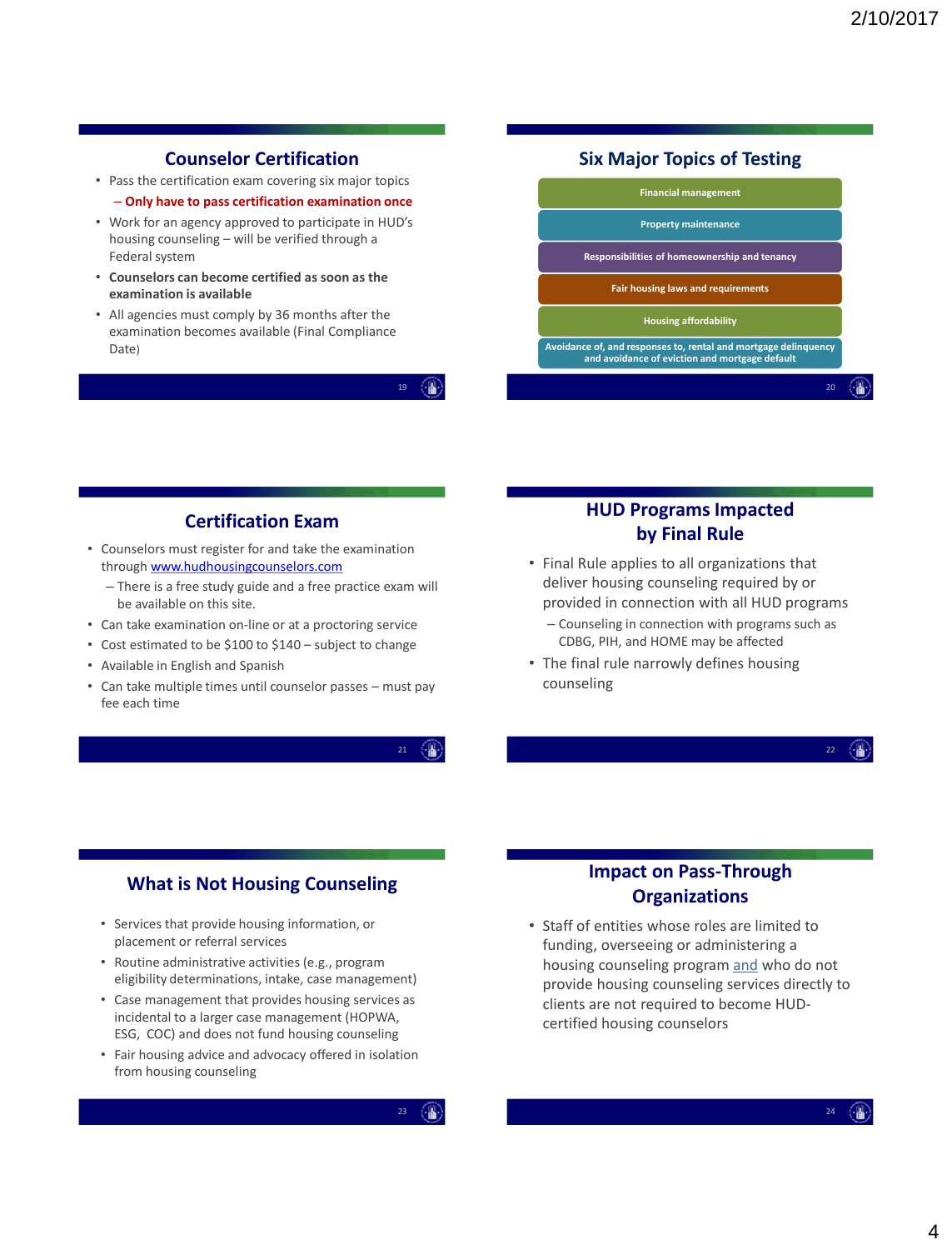## **Counselor Certification**

- Pass the certification exam covering six major topics – **Only have to pass certification examination once**
- Work for an agency approved to participate in HUD's housing counseling – will be verified through a Federal system
- **Counselors can become certified as soon as the examination is available**
- All agencies must comply by 36 months after the examination becomes available (Final Compliance Date)

19

#### **Six Major Topics of Testing**



## **Certification Exam**

- Counselors must register for and take the examination through [www.hudhousingcounselors.com](http://www.hudhousingcounselors.com/)
	- There is a free study guide and a free practice exam will be available on this site.
- Can take examination on-line or at a proctoring service
- Cost estimated to be \$100 to \$140 subject to change
- Available in English and Spanish
- Can take multiple times until counselor passes must pay fee each time

21  $\left(\begin{array}{c}\end{array}\right)$ 

#### **HUD Programs Impacted by Final Rule**

- Final Rule applies to all organizations that deliver housing counseling required by or provided in connection with all HUD programs
	- Counseling in connection with programs such as CDBG, PIH, and HOME may be affected
- The final rule narrowly defines housing counseling

22  $\langle \cdot | \cdot |$ 

#### **What is Not Housing Counseling**

- Services that provide housing information, or placement or referral services
- Routine administrative activities (e.g., program eligibility determinations, intake, case management)
- Case management that provides housing services as incidental to a larger case management (HOPWA, ESG, COC) and does not fund housing counseling
- Fair housing advice and advocacy offered in isolation from housing counseling

23

## **Impact on Pass-Through Organizations**

• Staff of entities whose roles are limited to funding, overseeing or administering a housing counseling program and who do not provide housing counseling services directly to clients are not required to become HUDcertified housing counselors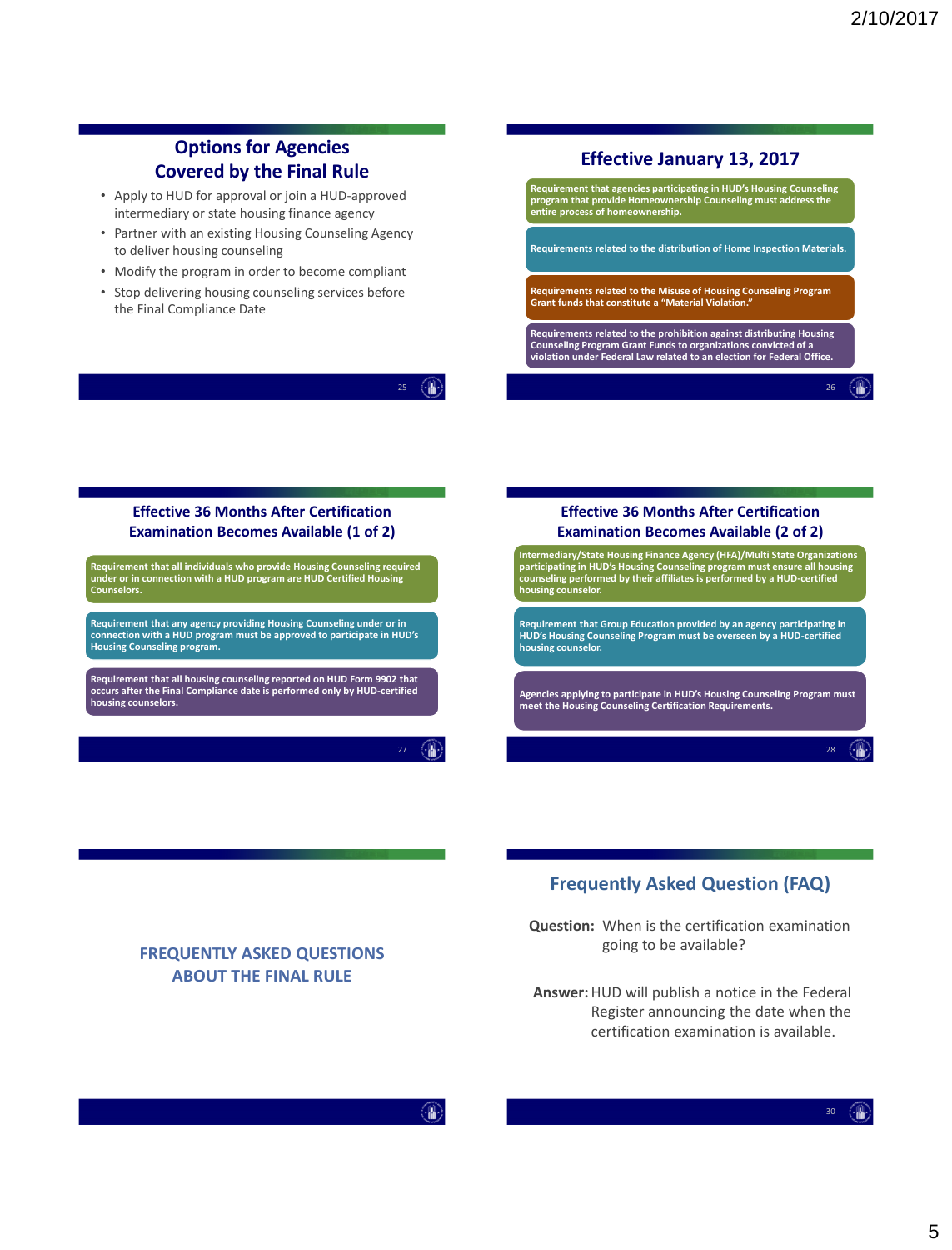## **Options for Agencies Covered by the Final Rule**

- Apply to HUD for approval or join a HUD-approved intermediary or state housing finance agency
- Partner with an existing Housing Counseling Agency to deliver housing counseling
- Modify the program in order to become compliant
- Stop delivering housing counseling services before the Final Compliance Date

#### **Effective January 13, 2017**



#### **Effective 36 Months After Certification Examination Becomes Available (1 of 2)**

**Requirement that all individuals who provide Housing Counseling required under or in connection with a HUD program are HUD Certified Housing Counselors.**

Requirement that any agency providing Housing Counseling under or in<br>connection with a HUD program must be approved to participate in HUD's<br>Housing Counseling program.

**Requirement that all housing counseling reported on HUD Form 9902 that occurs after the Final Compliance date is performed only by HUD-certified housing counselors.**

> $\langle \cdot | \cdot |$ 27

25  $\langle \cdot | \cdot | \cdot \rangle$ 



## **Frequently Asked Question (FAQ)**

**Question:** When is the certification examination going to be available?

**Answer:**HUD will publish a notice in the Federal Register announcing the date when the certification examination is available.

#### **FREQUENTLY ASKED QUESTIONS ABOUT THE FINAL RULE**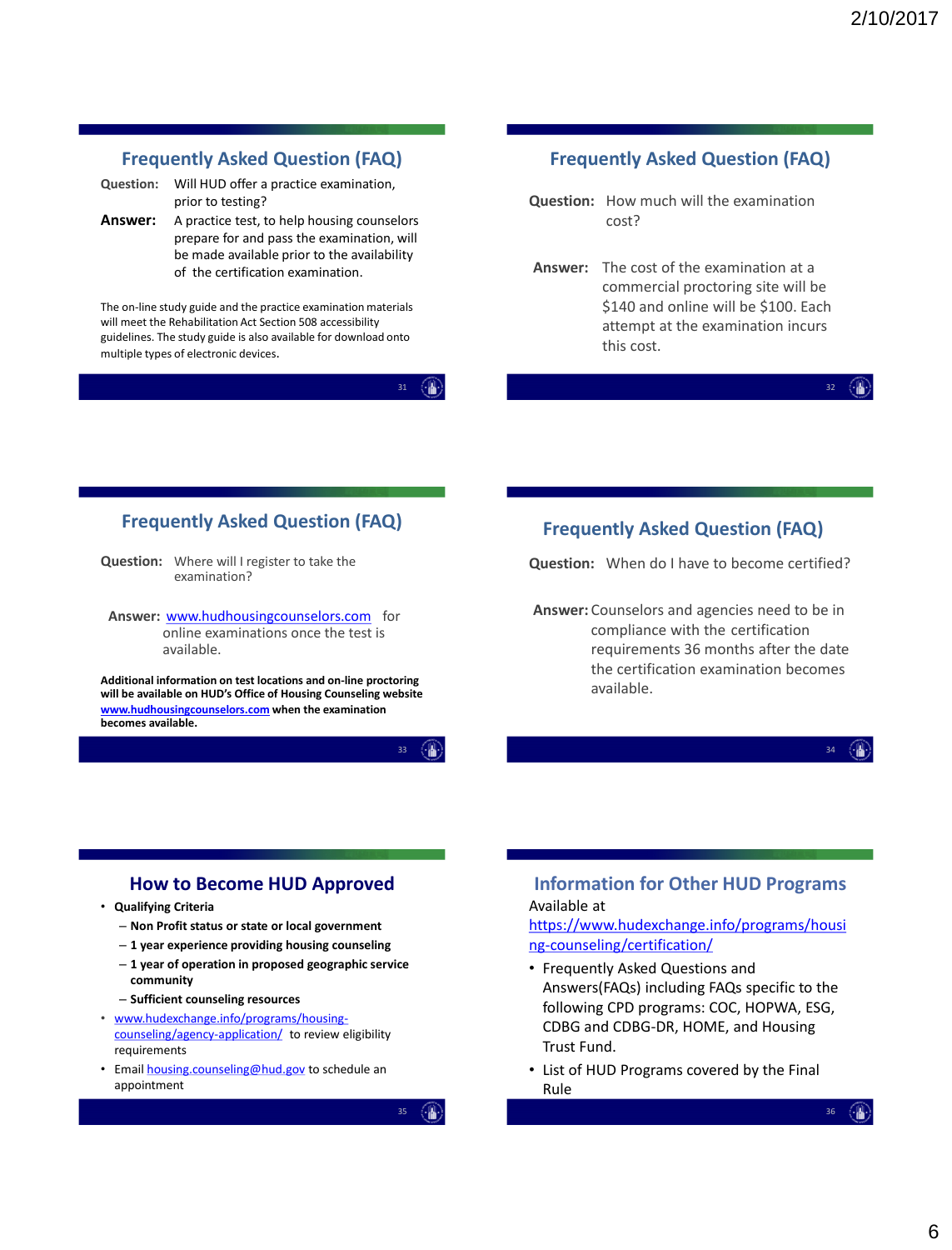#### **Frequently Asked Question (FAQ)**

**Question:** Will HUD offer a practice examination, prior to testing?

Answer: A practice test, to help housing counselors prepare for and pass the examination, will be made available prior to the availability of the certification examination.

The on-line study guide and the practice examination materials will meet the Rehabilitation Act Section 508 accessibility guidelines. The study guide is also available for download onto multiple types of electronic devices.

31

## **Frequently Asked Question (FAQ)**

- **Question:** How much will the examination cost?
- **Answer:** The cost of the examination at a commercial proctoring site will be \$140 and online will be \$100. Each attempt at the examination incurs this cost.

#### 32

#### **Frequently Asked Question (FAQ)**

**Question:** Where will I register to take the examination?

**Answer:** [www.hudhousingcounselors.com](http://www.hudhousingcounselors.com/) for online examinations once the test is available.

**Additional information on test locations and on-line proctoring will be available on HUD's Office of Housing Counseling website [www.hudhousingcounselors.com](http://www.hudhousingcounselors.com/) when the examination becomes available.** 

33

#### **Frequently Asked Question (FAQ)**

**Question:** When do I have to become certified?

**Answer:** Counselors and agencies need to be in compliance with the certification requirements 36 months after the date the certification examination becomes available.

34

#### **How to Become HUD Approved**

- **Qualifying Criteria**
	- **Non Profit status or state or local government**
	- **1 year experience providing housing counseling**
	- **1 year of operation in proposed geographic service community**
	- **Sufficient counseling resources**
- [www.hudexchange.info/programs/housing](http://www.hudexchange.info/programs/housing-counseling/agency-application/)counseling/agency-application/ to review eligibility requirements
- Email [housing.counseling@hud.gov](mailto:housing.counseling@hud.gov) to schedule an appointment

35

#### **Information for Other HUD Programs** Available at

[https://www.hudexchange.info/programs/housi](https://www.hudexchange.info/programs/housing-counseling/certification/) ng-counseling/certification/

- Frequently Asked Questions and Answers(FAQs) including FAQs specific to the following CPD programs: COC, HOPWA, ESG, CDBG and CDBG-DR, HOME, and Housing Trust Fund.
- List of HUD Programs covered by the Final Rule

36